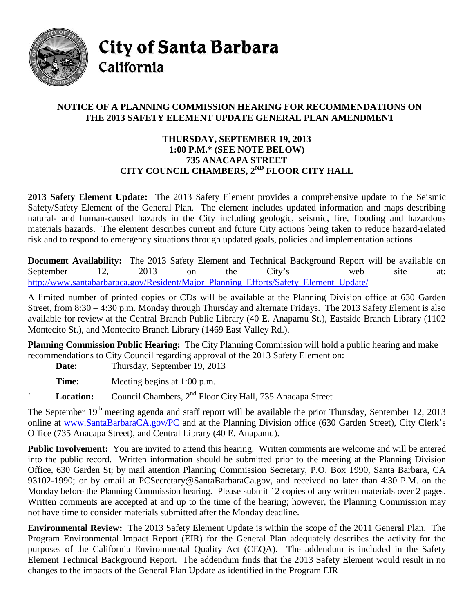

City of Santa Barbara California

## **NOTICE OF A PLANNING COMMISSION HEARING FOR RECOMMENDATIONS ON THE 2013 SAFETY ELEMENT UPDATE GENERAL PLAN AMENDMENT**

## **THURSDAY, SEPTEMBER 19, 2013 1:00 P.M.\* (SEE NOTE BELOW) 735 ANACAPA STREET CITY COUNCIL CHAMBERS, 2ND FLOOR CITY HALL**

**2013 Safety Element Update:** The 2013 Safety Element provides a comprehensive update to the Seismic Safety/Safety Element of the General Plan. The element includes updated information and maps describing natural- and human-caused hazards in the City including geologic, seismic, fire, flooding and hazardous materials hazards. The element describes current and future City actions being taken to reduce hazard-related risk and to respond to emergency situations through updated goals, policies and implementation actions

**Document Availability:** The 2013 Safety Element and Technical Background Report will be available on September 12, 2013 on the City's web site at: [http://www.santabarbaraca.gov/Resident/Major\\_Planning\\_Efforts/Safety\\_Element\\_Update/](http://www.santabarbaraca.gov/Resident/Major_Planning_Efforts/Safety_Element_Update/)

A limited number of printed copies or CDs will be available at the Planning Division office at 630 Garden Street, from 8:30 – 4:30 p.m. Monday through Thursday and alternate Fridays. The 2013 Safety Element is also available for review at the Central Branch Public Library (40 E. Anapamu St.), Eastside Branch Library (1102 Montecito St.), and Montecito Branch Library (1469 East Valley Rd.).

**Planning Commission Public Hearing:** The City Planning Commission will hold a public hearing and make recommendations to City Council regarding approval of the 2013 Safety Element on:

Date: Thursday, September 19, 2013

**Time:** Meeting begins at 1:00 p.m.

Location: Council Chambers, 2<sup>nd</sup> Floor City Hall, 735 Anacapa Street

The September 19<sup>th</sup> meeting agenda and staff report will be available the prior Thursday, September 12, 2013 online at [www.SantaBarbaraCA.gov/PC](http://www.santabarbaraca.gov/PC) and at the Planning Division office (630 Garden Street), City Clerk's Office (735 Anacapa Street), and Central Library (40 E. Anapamu).

**Public Involvement:** You are invited to attend this hearing. Written comments are welcome and will be entered into the public record. Written information should be submitted prior to the meeting at the Planning Division Office, 630 Garden St; by mail attention Planning Commission Secretary, P.O. Box 1990, Santa Barbara, CA 93102-1990; or by email at [PCSecretary@SantaBarbaraCa.gov,](mailto:PCSecretary@SantaBarbaraCa.gov) and received no later than 4:30 P.M. on the Monday before the Planning Commission hearing. Please submit 12 copies of any written materials over 2 pages. Written comments are accepted at and up to the time of the hearing; however, the Planning Commission may not have time to consider materials submitted after the Monday deadline.

**Environmental Review:** The 2013 Safety Element Update is within the scope of the 2011 General Plan. The Program Environmental Impact Report (EIR) for the General Plan adequately describes the activity for the purposes of the California Environmental Quality Act (CEQA). The addendum is included in the Safety Element Technical Background Report. The addendum finds that the 2013 Safety Element would result in no changes to the impacts of the General Plan Update as identified in the Program EIR